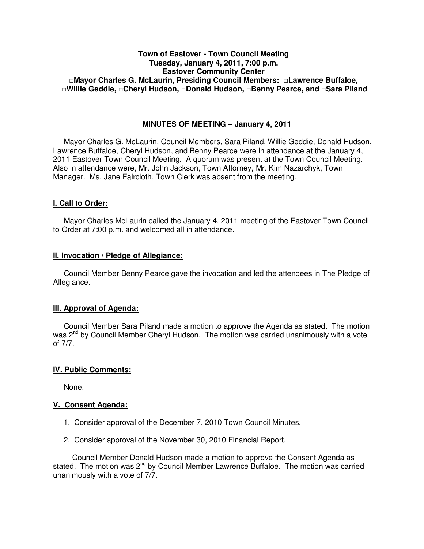# **Town of Eastover - Town Council Meeting Tuesday, January 4, 2011, 7:00 p.m. Eastover Community Center □Mayor Charles G. McLaurin, Presiding Council Members: □Lawrence Buffaloe, □Willie Geddie, □Cheryl Hudson, □Donald Hudson, □Benny Pearce, and □Sara Piland**

# **MINUTES OF MEETING – January 4, 2011**

Mayor Charles G. McLaurin, Council Members, Sara Piland, Willie Geddie, Donald Hudson, Lawrence Buffaloe, Cheryl Hudson, and Benny Pearce were in attendance at the January 4, 2011 Eastover Town Council Meeting. A quorum was present at the Town Council Meeting. Also in attendance were, Mr. John Jackson, Town Attorney, Mr. Kim Nazarchyk, Town Manager. Ms. Jane Faircloth, Town Clerk was absent from the meeting.

# **I. Call to Order:**

Mayor Charles McLaurin called the January 4, 2011 meeting of the Eastover Town Council to Order at 7:00 p.m. and welcomed all in attendance.

### **II. Invocation / Pledge of Allegiance:**

 Council Member Benny Pearce gave the invocation and led the attendees in The Pledge of Allegiance.

# **III. Approval of Agenda:**

 Council Member Sara Piland made a motion to approve the Agenda as stated. The motion was 2<sup>nd</sup> by Council Member Cheryl Hudson. The motion was carried unanimously with a vote of 7/7.

### **IV. Public Comments:**

None.

### **V. Consent Agenda:**

- 1. Consider approval of the December 7, 2010 Town Council Minutes.
- 2. Consider approval of the November 30, 2010 Financial Report.

Council Member Donald Hudson made a motion to approve the Consent Agenda as stated. The motion was 2<sup>nd</sup> by Council Member Lawrence Buffaloe. The motion was carried unanimously with a vote of 7/7.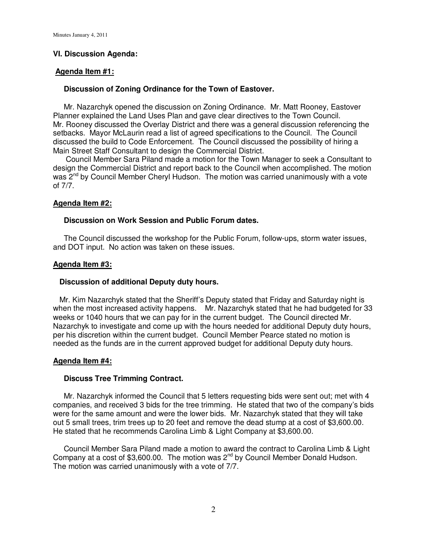# **VI. Discussion Agenda:**

## **Agenda Item #1:**

## **Discussion of Zoning Ordinance for the Town of Eastover.**

 Mr. Nazarchyk opened the discussion on Zoning Ordinance. Mr. Matt Rooney, Eastover Planner explained the Land Uses Plan and gave clear directives to the Town Council. Mr. Rooney discussed the Overlay District and there was a general discussion referencing the setbacks. Mayor McLaurin read a list of agreed specifications to the Council. The Council discussed the build to Code Enforcement. The Council discussed the possibility of hiring a Main Street Staff Consultant to design the Commercial District.

 Council Member Sara Piland made a motion for the Town Manager to seek a Consultant to design the Commercial District and report back to the Council when accomplished. The motion was 2<sup>nd</sup> by Council Member Cheryl Hudson. The motion was carried unanimously with a vote of 7/7.

### **Agenda Item #2:**

### **Discussion on Work Session and Public Forum dates.**

 The Council discussed the workshop for the Public Forum, follow-ups, storm water issues, and DOT input. No action was taken on these issues.

### **Agenda Item #3:**

### **Discussion of additional Deputy duty hours.**

 Mr. Kim Nazarchyk stated that the Sheriff's Deputy stated that Friday and Saturday night is when the most increased activity happens. Mr. Nazarchyk stated that he had budgeted for 33 weeks or 1040 hours that we can pay for in the current budget. The Council directed Mr. Nazarchyk to investigate and come up with the hours needed for additional Deputy duty hours, per his discretion within the current budget. Council Member Pearce stated no motion is needed as the funds are in the current approved budget for additional Deputy duty hours.

### **Agenda Item #4:**

### **Discuss Tree Trimming Contract.**

 Mr. Nazarchyk informed the Council that 5 letters requesting bids were sent out; met with 4 companies, and received 3 bids for the tree trimming. He stated that two of the company's bids were for the same amount and were the lower bids. Mr. Nazarchyk stated that they will take out 5 small trees, trim trees up to 20 feet and remove the dead stump at a cost of \$3,600.00. He stated that he recommends Carolina Limb & Light Company at \$3,600.00.

 Council Member Sara Piland made a motion to award the contract to Carolina Limb & Light Company at a cost of \$3,600.00. The motion was 2nd by Council Member Donald Hudson. The motion was carried unanimously with a vote of 7/7.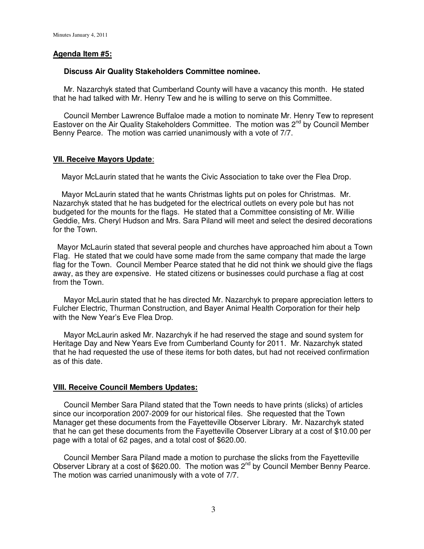## **Agenda Item #5:**

#### **Discuss Air Quality Stakeholders Committee nominee.**

 Mr. Nazarchyk stated that Cumberland County will have a vacancy this month. He stated that he had talked with Mr. Henry Tew and he is willing to serve on this Committee.

 Council Member Lawrence Buffaloe made a motion to nominate Mr. Henry Tew to represent Eastover on the Air Quality Stakeholders Committee. The motion was 2<sup>nd</sup> by Council Member Benny Pearce.The motion was carried unanimously with a vote of 7/7.

### **VII. Receive Mayors Update**:

Mayor McLaurin stated that he wants the Civic Association to take over the Flea Drop.

 Mayor McLaurin stated that he wants Christmas lights put on poles for Christmas. Mr. Nazarchyk stated that he has budgeted for the electrical outlets on every pole but has not budgeted for the mounts for the flags. He stated that a Committee consisting of Mr. Willie Geddie, Mrs. Cheryl Hudson and Mrs. Sara Piland will meet and select the desired decorations for the Town.

 Mayor McLaurin stated that several people and churches have approached him about a Town Flag. He stated that we could have some made from the same company that made the large flag for the Town. Council Member Pearce stated that he did not think we should give the flags away, as they are expensive. He stated citizens or businesses could purchase a flag at cost from the Town.

 Mayor McLaurin stated that he has directed Mr. Nazarchyk to prepare appreciation letters to Fulcher Electric, Thurman Construction, and Bayer Animal Health Corporation for their help with the New Year's Eve Flea Drop.

 Mayor McLaurin asked Mr. Nazarchyk if he had reserved the stage and sound system for Heritage Day and New Years Eve from Cumberland County for 2011. Mr. Nazarchyk stated that he had requested the use of these items for both dates, but had not received confirmation as of this date.

### **VIII. Receive Council Members Updates:**

 Council Member Sara Piland stated that the Town needs to have prints (slicks) of articles since our incorporation 2007-2009 for our historical files. She requested that the Town Manager get these documents from the Fayetteville Observer Library. Mr. Nazarchyk stated that he can get these documents from the Fayetteville Observer Library at a cost of \$10.00 per page with a total of 62 pages, and a total cost of \$620.00.

 Council Member Sara Piland made a motion to purchase the slicks from the Fayetteville Observer Library at a cost of \$620.00. The motion was 2<sup>nd</sup> by Council Member Benny Pearce. The motion was carried unanimously with a vote of 7/7.